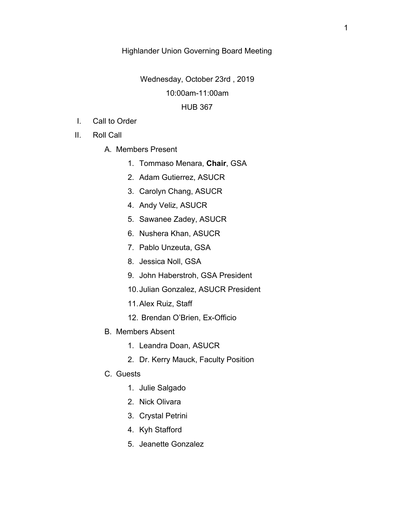## Highlander Union Governing Board Meeting

#### Wednesday, October 23rd , 2019

## 10:00am-11:00am

#### HUB 367

- I. Call to Order
- II. Roll Call
	- A. Members Present
		- 1. Tommaso Menara, **Chair**, GSA
		- 2. Adam Gutierrez, ASUCR
		- 3. Carolyn Chang, ASUCR
		- 4. Andy Veliz, ASUCR
		- 5. Sawanee Zadey, ASUCR
		- 6. Nushera Khan, ASUCR
		- 7. Pablo Unzeuta, GSA
		- 8. Jessica Noll, GSA
		- 9. John Haberstroh, GSA President
		- 10.Julian Gonzalez, ASUCR President
		- 11.Alex Ruiz, Staff
		- 12. Brendan O'Brien, Ex-Officio
	- B. Members Absent
		- 1. Leandra Doan, ASUCR
		- 2. Dr. Kerry Mauck, Faculty Position
	- C. Guests
		- 1. Julie Salgado
		- 2. Nick Olivara
		- 3. Crystal Petrini
		- 4. Kyh Stafford
		- 5. Jeanette Gonzalez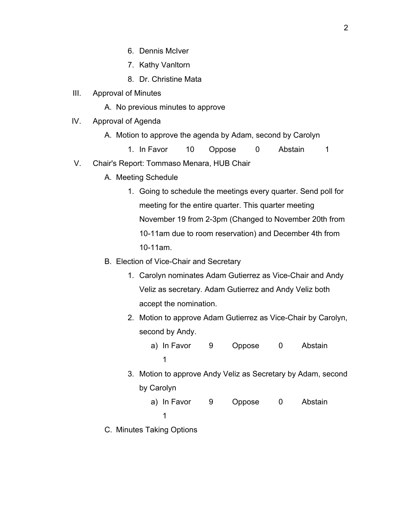- 6. Dennis McIver
- 7. Kathy Vanltorn
- 8. Dr. Christine Mata
- III. Approval of Minutes
	- A. No previous minutes to approve
- IV. Approval of Agenda
	- A. Motion to approve the agenda by Adam, second by Carolyn
		- 1. In Favor 10 Oppose 0 Abstain 1
- V. Chair's Report: Tommaso Menara, HUB Chair
	- A. Meeting Schedule
		- 1. Going to schedule the meetings every quarter. Send poll for meeting for the entire quarter. This quarter meeting November 19 from 2-3pm (Changed to November 20th from 10-11am due to room reservation) and December 4th from 10-11am.
	- B. Election of Vice-Chair and Secretary
		- 1. Carolyn nominates Adam Gutierrez as Vice-Chair and Andy Veliz as secretary. Adam Gutierrez and Andy Veliz both accept the nomination.
		- 2. Motion to approve Adam Gutierrez as Vice-Chair by Carolyn, second by Andy.
			- a) In Favor 9 Oppose 0 Abstain 1
		- 3. Motion to approve Andy Veliz as Secretary by Adam, second by Carolyn
			- a) In Favor 9 Oppose 0 Abstain
				- 1
	- C. Minutes Taking Options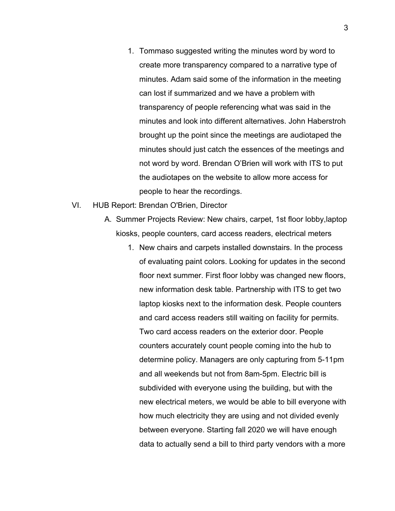- 1. Tommaso suggested writing the minutes word by word to create more transparency compared to a narrative type of minutes. Adam said some of the information in the meeting can lost if summarized and we have a problem with transparency of people referencing what was said in the minutes and look into different alternatives. John Haberstroh brought up the point since the meetings are audiotaped the minutes should just catch the essences of the meetings and not word by word. Brendan O'Brien will work with ITS to put the audiotapes on the website to allow more access for people to hear the recordings.
- VI. HUB Report: Brendan O'Brien, Director
	- A. Summer Projects Review: New chairs, carpet, 1st floor lobby,laptop kiosks, people counters, card access readers, electrical meters
		- 1. New chairs and carpets installed downstairs. In the process of evaluating paint colors. Looking for updates in the second floor next summer. First floor lobby was changed new floors, new information desk table. Partnership with ITS to get two laptop kiosks next to the information desk. People counters and card access readers still waiting on facility for permits. Two card access readers on the exterior door. People counters accurately count people coming into the hub to determine policy. Managers are only capturing from 5-11pm and all weekends but not from 8am-5pm. Electric bill is subdivided with everyone using the building, but with the new electrical meters, we would be able to bill everyone with how much electricity they are using and not divided evenly between everyone. Starting fall 2020 we will have enough data to actually send a bill to third party vendors with a more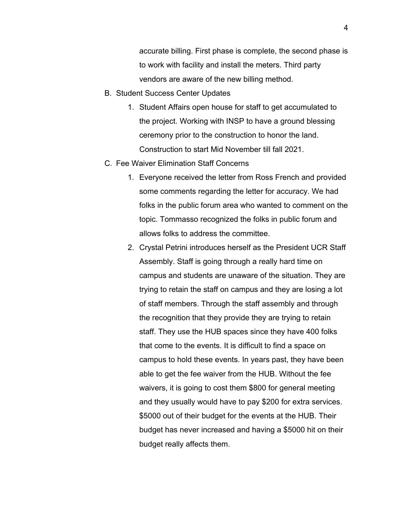accurate billing. First phase is complete, the second phase is to work with facility and install the meters. Third party vendors are aware of the new billing method.

- B. Student Success Center Updates
	- 1. Student Affairs open house for staff to get accumulated to the project. Working with INSP to have a ground blessing ceremony prior to the construction to honor the land. Construction to start Mid November till fall 2021.
- C. Fee Waiver Elimination Staff Concerns
	- 1. Everyone received the letter from Ross French and provided some comments regarding the letter for accuracy. We had folks in the public forum area who wanted to comment on the topic. Tommasso recognized the folks in public forum and allows folks to address the committee.
	- 2. Crystal Petrini introduces herself as the President UCR Staff Assembly. Staff is going through a really hard time on campus and students are unaware of the situation. They are trying to retain the staff on campus and they are losing a lot of staff members. Through the staff assembly and through the recognition that they provide they are trying to retain staff. They use the HUB spaces since they have 400 folks that come to the events. It is difficult to find a space on campus to hold these events. In years past, they have been able to get the fee waiver from the HUB. Without the fee waivers, it is going to cost them \$800 for general meeting and they usually would have to pay \$200 for extra services. \$5000 out of their budget for the events at the HUB. Their budget has never increased and having a \$5000 hit on their budget really affects them.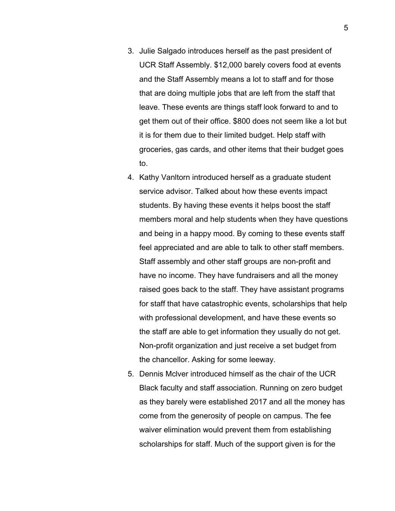- 3. Julie Salgado introduces herself as the past president of UCR Staff Assembly. \$12,000 barely covers food at events and the Staff Assembly means a lot to staff and for those that are doing multiple jobs that are left from the staff that leave. These events are things staff look forward to and to get them out of their office. \$800 does not seem like a lot but it is for them due to their limited budget. Help staff with groceries, gas cards, and other items that their budget goes to.
- 4. Kathy Vanltorn introduced herself as a graduate student service advisor. Talked about how these events impact students. By having these events it helps boost the staff members moral and help students when they have questions and being in a happy mood. By coming to these events staff feel appreciated and are able to talk to other staff members. Staff assembly and other staff groups are non-profit and have no income. They have fundraisers and all the money raised goes back to the staff. They have assistant programs for staff that have catastrophic events, scholarships that help with professional development, and have these events so the staff are able to get information they usually do not get. Non-profit organization and just receive a set budget from the chancellor. Asking for some leeway.
- 5. Dennis Mclver introduced himself as the chair of the UCR Black faculty and staff association. Running on zero budget as they barely were established 2017 and all the money has come from the generosity of people on campus. The fee waiver elimination would prevent them from establishing scholarships for staff. Much of the support given is for the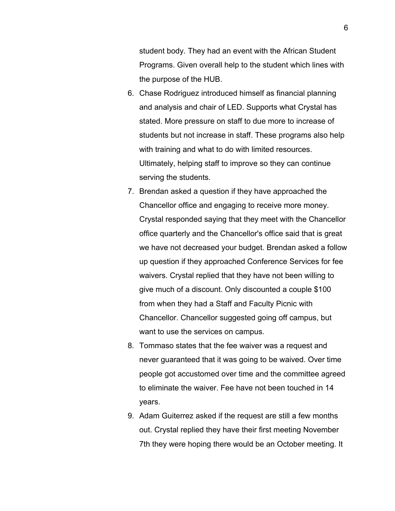student body. They had an event with the African Student Programs. Given overall help to the student which lines with the purpose of the HUB.

- 6. Chase Rodriguez introduced himself as financial planning and analysis and chair of LED. Supports what Crystal has stated. More pressure on staff to due more to increase of students but not increase in staff. These programs also help with training and what to do with limited resources. Ultimately, helping staff to improve so they can continue serving the students.
- 7. Brendan asked a question if they have approached the Chancellor office and engaging to receive more money. Crystal responded saying that they meet with the Chancellor office quarterly and the Chancellor's office said that is great we have not decreased your budget. Brendan asked a follow up question if they approached Conference Services for fee waivers. Crystal replied that they have not been willing to give much of a discount. Only discounted a couple \$100 from when they had a Staff and Faculty Picnic with Chancellor. Chancellor suggested going off campus, but want to use the services on campus.
- 8. Tommaso states that the fee waiver was a request and never guaranteed that it was going to be waived. Over time people got accustomed over time and the committee agreed to eliminate the waiver. Fee have not been touched in 14 years.
- 9. Adam Guiterrez asked if the request are still a few months out. Crystal replied they have their first meeting November 7th they were hoping there would be an October meeting. It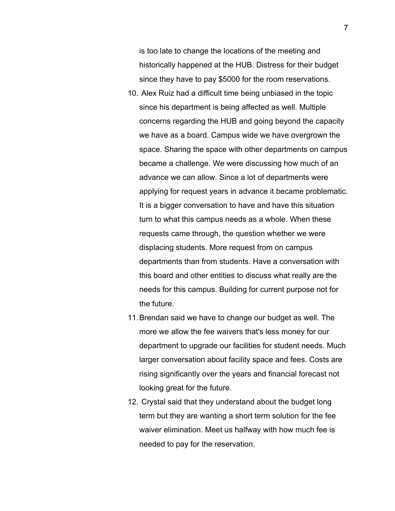is too late to change the locations of the meeting and historically happened at the HUB. Distress for their budget since they have to pay \$5000 for the room reservations.

- 10. Alex Ruiz had a difficult time being unbiased in the topic since his department is being affected as well. Multiple concerns regarding the HUB and going beyond the capacity we have as a board. Campus wide we have overgrown the space. Sharing the space with other departments on campus became a challenge. We were discussing how much of an advance we can allow. Since a lot of departments were applying for request years in advance it became problematic. It is a bigger conversation to have and have this situation turn to what this campus needs as a whole. When these requests came through, the question whether we were displacing students. More request from on campus departments than from students. Have a conversation with this board and other entities to discuss what really are the needs for this campus. Building for current purpose not for the future.
- 11.Brendan said we have to change our budget as well. The more we allow the fee waivers that's less money for our department to upgrade our facilities for student needs. Much larger conversation about facility space and fees. Costs are rising significantly over the years and financial forecast not looking great for the future.
- 12. Crystal said that they understand about the budget long term but they are wanting a short term solution for the fee waiver elimination. Meet us halfway with how much fee is needed to pay for the reservation.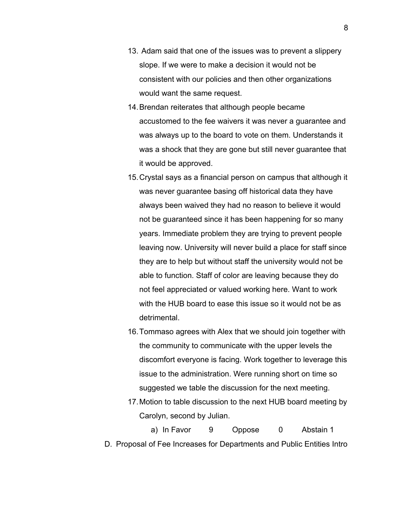- 13. Adam said that one of the issues was to prevent a slippery slope. If we were to make a decision it would not be consistent with our policies and then other organizations would want the same request.
- 14.Brendan reiterates that although people became accustomed to the fee waivers it was never a guarantee and was always up to the board to vote on them. Understands it was a shock that they are gone but still never guarantee that it would be approved.
- 15.Crystal says as a financial person on campus that although it was never guarantee basing off historical data they have always been waived they had no reason to believe it would not be guaranteed since it has been happening for so many years. Immediate problem they are trying to prevent people leaving now. University will never build a place for staff since they are to help but without staff the university would not be able to function. Staff of color are leaving because they do not feel appreciated or valued working here. Want to work with the HUB board to ease this issue so it would not be as detrimental.
- 16.Tommaso agrees with Alex that we should join together with the community to communicate with the upper levels the discomfort everyone is facing. Work together to leverage this issue to the administration. Were running short on time so suggested we table the discussion for the next meeting.
- 17.Motion to table discussion to the next HUB board meeting by Carolyn, second by Julian.
- a) In Favor 9 Oppose 0 Abstain 1 D. Proposal of Fee Increases for Departments and Public Entities Intro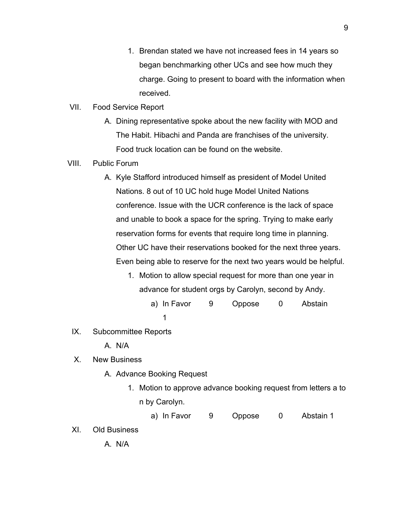- 1. Brendan stated we have not increased fees in 14 years so began benchmarking other UCs and see how much they charge. Going to present to board with the information when received.
- VII. Food Service Report
	- A. Dining representative spoke about the new facility with MOD and The Habit. Hibachi and Panda are franchises of the university. Food truck location can be found on the website.
- VIII. Public Forum
	- A. Kyle Stafford introduced himself as president of Model United Nations. 8 out of 10 UC hold huge Model United Nations conference. Issue with the UCR conference is the lack of space and unable to book a space for the spring. Trying to make early reservation forms for events that require long time in planning. Other UC have their reservations booked for the next three years. Even being able to reserve for the next two years would be helpful.
		- 1. Motion to allow special request for more than one year in advance for student orgs by Carolyn, second by Andy.
			- a) In Favor 9 Oppose 0 Abstain 1
	- IX. Subcommittee Reports

A. N/A

X. New Business

- A. Advance Booking Request
	- 1. Motion to approve advance booking request from letters a to n by Carolyn.

a) In Favor 9 Oppose 0 Abstain 1

XI. Old Business

A. N/A